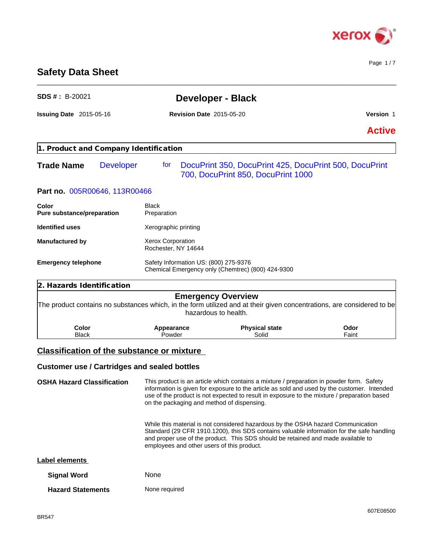

Page 1 / 7

# **Safety Data Sheet**

| <b>SDS #: B-20021</b>                      |                  | <b>Developer - Black</b>                            |                                                                                                                                                                             |               |  |
|--------------------------------------------|------------------|-----------------------------------------------------|-----------------------------------------------------------------------------------------------------------------------------------------------------------------------------|---------------|--|
| <b>Issuing Date 2015-05-16</b>             |                  | <b>Revision Date 2015-05-20</b>                     |                                                                                                                                                                             | Version 1     |  |
|                                            |                  |                                                     |                                                                                                                                                                             | <b>Active</b> |  |
| 1. Product and Company Identification      |                  |                                                     |                                                                                                                                                                             |               |  |
| <b>Trade Name</b>                          | <b>Developer</b> | for                                                 | DocuPrint 350, DocuPrint 425, DocuPrint 500, DocuPrint<br>700, DocuPrint 850, DocuPrint 1000                                                                                |               |  |
| Part no. 005R00646, 113R00466              |                  |                                                     |                                                                                                                                                                             |               |  |
| <b>Color</b><br>Pure substance/preparation |                  | <b>Black</b><br>Preparation                         |                                                                                                                                                                             |               |  |
| <b>Identified uses</b>                     |                  | Xerographic printing                                |                                                                                                                                                                             |               |  |
| <b>Manufactured by</b>                     |                  | Xerox Corporation<br>Rochester, NY 14644            |                                                                                                                                                                             |               |  |
| <b>Emergency telephone</b>                 |                  | Safety Information US: (800) 275-9376               | Chemical Emergency only (Chemtrec) (800) 424-9300                                                                                                                           |               |  |
| 2. Hazards Identification                  |                  |                                                     |                                                                                                                                                                             |               |  |
|                                            |                  |                                                     | <b>Emergency Overview</b><br>The product contains no substances which, in the form utilized and at their given concentrations, are considered to be<br>hazardous to health. |               |  |
| <b>Color</b><br><b>Black</b>               |                  | Appearance<br>Powder                                | <b>Physical state</b><br>Solid                                                                                                                                              | Odor<br>Faint |  |
|                                            |                  | <b>Classification of the substance or mixture</b>   |                                                                                                                                                                             |               |  |
|                                            |                  | <b>Customer use / Cartridges and sealed bottles</b> |                                                                                                                                                                             |               |  |
| <b>OSHA Hazard Classification</b>          |                  |                                                     | This product is an article which contains a mixture / preparation in powder form. Safety                                                                                    |               |  |
|                                            |                  |                                                     |                                                                                                                                                                             |               |  |

\_\_\_\_\_\_\_\_\_\_\_\_\_\_\_\_\_\_\_\_\_\_\_\_\_\_\_\_\_\_\_\_\_\_\_\_\_\_\_\_\_\_\_\_\_\_\_\_\_\_\_\_\_\_\_\_\_\_\_\_\_\_\_\_\_\_\_\_\_\_\_\_\_\_\_\_\_\_\_\_\_\_\_\_\_\_\_\_\_\_\_\_\_\_

information is given for exposure to the article as sold and used by the customer. Intended use of the product is not expected to result in exposure to the mixture / preparation based on the packaging and method of dispensing.

> While this material is not considered hazardous by the OSHA hazard Communication Standard (29 CFR 1910.1200), this SDS contains valuable information for the safe handling and proper use of the product. This SDS should be retained and made available to employees and other users of this product.

#### **Label elements**

| <b>Signal Word</b> | None |
|--------------------|------|
|                    |      |

| <b>Hazard Statements</b> | None required |
|--------------------------|---------------|
|--------------------------|---------------|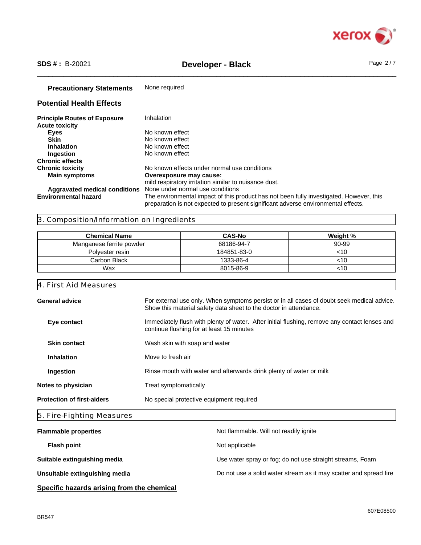

# \_\_\_\_\_\_\_\_\_\_\_\_\_\_\_\_\_\_\_\_\_\_\_\_\_\_\_\_\_\_\_\_\_\_\_\_\_\_\_\_\_\_\_\_\_\_\_\_\_\_\_\_\_\_\_\_\_\_\_\_\_\_\_\_\_\_\_\_\_\_\_\_\_\_\_\_\_\_\_\_\_\_\_\_\_\_\_\_\_\_\_\_\_\_ **SDS # :** B-20021 **Developer - Black** Page 2 / 7

## **Precautionary Statements** None required

# **Potential Health Effects**

| <b>Principle Routes of Exposure</b> | Inhalation                                                                                                                                                                   |
|-------------------------------------|------------------------------------------------------------------------------------------------------------------------------------------------------------------------------|
| <b>Acute toxicity</b>               |                                                                                                                                                                              |
| Eyes                                | No known effect                                                                                                                                                              |
| <b>Skin</b>                         | No known effect                                                                                                                                                              |
| <b>Inhalation</b>                   | No known effect                                                                                                                                                              |
| Ingestion                           | No known effect                                                                                                                                                              |
| <b>Chronic effects</b>              |                                                                                                                                                                              |
| <b>Chronic toxicity</b>             | No known effects under normal use conditions                                                                                                                                 |
| <b>Main symptoms</b>                | Overexposure may cause:                                                                                                                                                      |
|                                     | mild respiratory irritation similar to nuisance dust.                                                                                                                        |
| Aggravated medical conditions       | None under normal use conditions                                                                                                                                             |
| <b>Environmental hazard</b>         | The environmental impact of this product has not been fully investigated. However, this<br>preparation is not expected to present significant adverse environmental effects. |

# 3. Composition/Information on Ingredients

| <b>Chemical Name</b>     | <b>CAS-No</b> | Weight % |
|--------------------------|---------------|----------|
| Manganese ferrite powder | 68186-94-7    | 90-99    |
| Polyester resin          | 184851-83-0   | <10      |
| Carbon Black             | 1333-86-4     | <10      |
| Wax                      | 8015-86-9     | <10      |

# 4. First Aid Measures

| 5. Fire-Fighting Measures         |                                                                                                                                                                 |  |
|-----------------------------------|-----------------------------------------------------------------------------------------------------------------------------------------------------------------|--|
| <b>Protection of first-aiders</b> | No special protective equipment required                                                                                                                        |  |
| Notes to physician                | Treat symptomatically                                                                                                                                           |  |
| Ingestion                         | Rinse mouth with water and afterwards drink plenty of water or milk                                                                                             |  |
| <b>Inhalation</b>                 | Move to fresh air                                                                                                                                               |  |
| <b>Skin contact</b>               | Wash skin with soap and water                                                                                                                                   |  |
| Eye contact                       | Immediately flush with plenty of water. After initial flushing, remove any contact lenses and<br>continue flushing for at least 15 minutes                      |  |
| <b>General advice</b>             | For external use only. When symptoms persist or in all cases of doubt seek medical advice.<br>Show this material safety data sheet to the doctor in attendance. |  |
|                                   |                                                                                                                                                                 |  |

| <b>Flammable properties</b>                | Not flammable. Will not readily ignite                            |
|--------------------------------------------|-------------------------------------------------------------------|
| <b>Flash point</b>                         | Not applicable                                                    |
| Suitable extinguishing media               | Use water spray or fog; do not use straight streams, Foam         |
| Unsuitable extinguishing media             | Do not use a solid water stream as it may scatter and spread fire |
| Specific hazards arising from the chemical |                                                                   |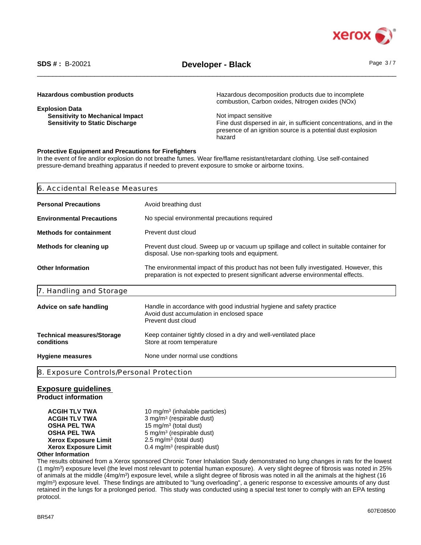

**Explosion Data Sensitivity to Mechanical Impact Not impact Not impact sensitive** 

**Hazardous combustion products Hazardous decomposition products due to incomplete** combustion, Carbon oxides, Nitrogen oxides (NOx)

**Sensitivity to Static Discharge** Fine dust dispersed in air, in sufficient concentrations, and in the presence of an ignition source is a potential dust explosion hazard

#### **Protective Equipment and Precautions for Firefighters**

In the event of fire and/or explosion do not breathe fumes. Wear fire/flame resistant/retardant clothing. Use self-contained pressure-demand breathing apparatus if needed to prevent exposure to smoke or airborne toxins.

| 6. Accidental Release Measures                                                                                                                                                                           |                                                                                                                                             |  |
|----------------------------------------------------------------------------------------------------------------------------------------------------------------------------------------------------------|---------------------------------------------------------------------------------------------------------------------------------------------|--|
| <b>Personal Precautions</b>                                                                                                                                                                              | Avoid breathing dust                                                                                                                        |  |
| <b>Environmental Precautions</b>                                                                                                                                                                         | No special environmental precautions required                                                                                               |  |
| <b>Methods for containment</b>                                                                                                                                                                           | Prevent dust cloud                                                                                                                          |  |
| Methods for cleaning up                                                                                                                                                                                  | Prevent dust cloud. Sweep up or vacuum up spillage and collect in suitable container for<br>disposal. Use non-sparking tools and equipment. |  |
| <b>Other Information</b><br>The environmental impact of this product has not been fully investigated. However, this<br>preparation is not expected to present significant adverse environmental effects. |                                                                                                                                             |  |
| 7. Handling and Storage                                                                                                                                                                                  |                                                                                                                                             |  |
| Advice on safe handling                                                                                                                                                                                  | Handle in accordance with good industrial hygiene and safety practice<br>Avoid dust accumulation in enclosed space<br>Prevent dust cloud    |  |
| <b>Technical measures/Storage</b><br>conditions                                                                                                                                                          | Keep container tightly closed in a dry and well-ventilated place<br>Store at room temperature                                               |  |
| <b>Hygiene measures</b>                                                                                                                                                                                  | None under normal use condtions                                                                                                             |  |
| 8. Exposure Controls/Personal Protection                                                                                                                                                                 |                                                                                                                                             |  |

### **Exposure guidelines**

**Product information**

**ACGIH TLV TWA** 10 mg/m<sup>3</sup> (inhalable particles) **ACGIH TLV TWA** 3 mg/m<sup>3</sup> (respirable dust) **OSHA PEL TWA** 15 mg/m<sup>3</sup> (total dust) **OSHA PEL TWA** 5 mg/m<sup>3</sup> (respirable dust) **Xerox Exposure Limit**  $2.5 \text{ mg/m}^3$  (total dust) **Xerox Exposure Limit** 0.4 mg/m<sup>3</sup> (respirable dust)

#### **Other Information**

The results obtained from a Xerox sponsored Chronic Toner Inhalation Study demonstrated no lung changes in rats for the lowest (1 mg/m<sup>3</sup> ) exposure level (the level most relevant to potential human exposure). A very slight degree of fibrosis was noted in 25% of animals at the middle (4mg/m<sup>3</sup>) exposure level, while a slight degree of fibrosis was noted in all the animals at the highest (16 mg/m<sup>3</sup> ) exposure level. These findings are attributed to "lung overloading", a generic response to excessive amounts of any dust retained in the lungs for a prolonged period. This study was conducted using a special test toner to comply with an EPA testing protocol.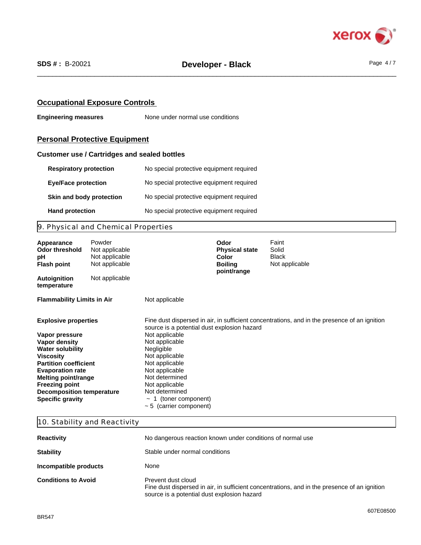

## **Occupational Exposure Controls**

**Engineering measures** None under normal use conditions

## **Personal Protective Equipment**

#### **Customer use / Cartridges and sealed bottles**

| <b>Respiratory protection</b> | No special protective equipment required |
|-------------------------------|------------------------------------------|
| <b>Eve/Face protection</b>    | No special protective equipment required |
| Skin and body protection      | No special protective equipment required |
| <b>Hand protection</b>        | No special protective equipment required |

# 9. Physical and Chemical Properties

| Appearance<br>Odor threshold<br>рH<br><b>Flash point</b> | Powder<br>Not applicable<br>Not applicable<br>Not applicable |                                             | Odor<br><b>Physical state</b><br>Color<br><b>Boiling</b><br>point/range | Faint<br>Solid<br><b>Black</b><br>Not applicable                                             |  |
|----------------------------------------------------------|--------------------------------------------------------------|---------------------------------------------|-------------------------------------------------------------------------|----------------------------------------------------------------------------------------------|--|
| <b>Autoignition</b><br>temperature                       | Not applicable                                               |                                             |                                                                         |                                                                                              |  |
| <b>Flammability Limits in Air</b>                        |                                                              | Not applicable                              |                                                                         |                                                                                              |  |
| <b>Explosive properties</b>                              |                                                              | source is a potential dust explosion hazard |                                                                         | Fine dust dispersed in air, in sufficient concentrations, and in the presence of an ignition |  |
| Vapor pressure                                           |                                                              | Not applicable                              |                                                                         |                                                                                              |  |
| Vapor density                                            |                                                              | Not applicable                              |                                                                         |                                                                                              |  |
| <b>Water solubility</b>                                  |                                                              | Negligible                                  |                                                                         |                                                                                              |  |
| Viscosity                                                |                                                              | Not applicable                              |                                                                         |                                                                                              |  |
| <b>Partition coefficient</b>                             |                                                              | Not applicable                              |                                                                         |                                                                                              |  |
| <b>Evaporation rate</b>                                  |                                                              | Not applicable                              |                                                                         |                                                                                              |  |
| <b>Melting point/range</b>                               |                                                              | Not determined                              |                                                                         |                                                                                              |  |
| <b>Freezing point</b>                                    |                                                              | Not applicable                              |                                                                         |                                                                                              |  |
| <b>Decomposition temperature</b>                         |                                                              | Not determined                              |                                                                         |                                                                                              |  |
| <b>Specific gravity</b>                                  |                                                              | 1 (toner component)                         |                                                                         |                                                                                              |  |
|                                                          |                                                              | $\sim$ 5 (carrier component)                |                                                                         |                                                                                              |  |

# 10. Stability and Reactivity

| <b>Reactivity</b>          | No dangerous reaction known under conditions of normal use                                                                                                        |  |
|----------------------------|-------------------------------------------------------------------------------------------------------------------------------------------------------------------|--|
| <b>Stability</b>           | Stable under normal conditions                                                                                                                                    |  |
| Incompatible products      | None                                                                                                                                                              |  |
| <b>Conditions to Avoid</b> | Prevent dust cloud<br>Fine dust dispersed in air, in sufficient concentrations, and in the presence of an ignition<br>source is a potential dust explosion hazard |  |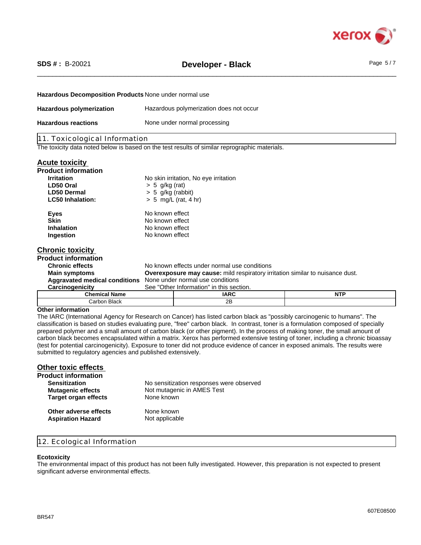

# \_\_\_\_\_\_\_\_\_\_\_\_\_\_\_\_\_\_\_\_\_\_\_\_\_\_\_\_\_\_\_\_\_\_\_\_\_\_\_\_\_\_\_\_\_\_\_\_\_\_\_\_\_\_\_\_\_\_\_\_\_\_\_\_\_\_\_\_\_\_\_\_\_\_\_\_\_\_\_\_\_\_\_\_\_\_\_\_\_\_\_\_\_\_ **SDS # :** B-20021 **Developer - Black** Page 5 / 7

# **Hazardous Decomposition Products** None under normal use

| Hazardous polymerization   | Hazardous polymerization does not occur |
|----------------------------|-----------------------------------------|
| <b>Hazardous reactions</b> | None under normal processing            |

### 11. Toxicological Information

The toxicity data noted below is based on the test results of similar reprographic materials.

#### **Acute toxicity**

| <b>Product information</b>    |                                                                                      |                                              |             |
|-------------------------------|--------------------------------------------------------------------------------------|----------------------------------------------|-------------|
| <b>Irritation</b>             |                                                                                      | No skin irritation, No eye irritation        |             |
| LD50 Oral                     | $> 5$ g/kg (rat)                                                                     |                                              |             |
| <b>LD50 Dermal</b>            | $> 5$ g/kg (rabbit)                                                                  |                                              |             |
| <b>LC50 Inhalation:</b>       |                                                                                      | $> 5$ mg/L (rat, 4 hr)                       |             |
| <b>Eyes</b>                   | No known effect                                                                      |                                              |             |
| <b>Skin</b>                   | No known effect                                                                      |                                              |             |
| <b>Inhalation</b>             | No known effect                                                                      |                                              |             |
| Ingestion                     | No known effect                                                                      |                                              |             |
| <b>Chronic toxicity</b>       |                                                                                      |                                              |             |
| <b>Product information</b>    |                                                                                      |                                              |             |
| <b>Chronic effects</b>        |                                                                                      | No known effects under normal use conditions |             |
| <b>Main symptoms</b>          | <b>Overexposure may cause:</b> mild respiratory irritation similar to nuisance dust. |                                              |             |
| Aggravated medical conditions |                                                                                      | None under normal use conditions             |             |
| Carcinogenicity               |                                                                                      | See "Other Information" in this section.     |             |
| Chamical Namo                 |                                                                                      | IADC                                         | <b>NITD</b> |

| Chemical<br>: Namu                                   | IARC      | <b>NTP</b><br>. |
|------------------------------------------------------|-----------|-----------------|
| $\sim$<br>ے ماضی<br>`orhon<br><b>DIACK</b><br>$\sim$ | םר<br>ZD. |                 |

#### **Other information**

The IARC (International Agency for Research on Cancer) has listed carbon black as "possibly carcinogenic to humans". The classification is based on studies evaluating pure, "free" carbon black. In contrast, toner is a formulation composed of specially prepared polymer and a small amount of carbon black (or other pigment). In the process of making toner, the small amount of carbon black becomes encapsulated within a matrix. Xerox has performed extensive testing of toner, including a chronic bioassay (test for potential carcinogenicity). Exposure to toner did not produce evidence of cancer in exposed animals. The results were submitted to regulatory agencies and published extensively.

# **Other toxic effects**

| <b>Product information</b>  |                                          |
|-----------------------------|------------------------------------------|
| <b>Sensitization</b>        | No sensitization responses were observed |
| <b>Mutagenic effects</b>    | Not mutagenic in AMES Test               |
| <b>Target organ effects</b> | None known                               |
| Other adverse effects       | None known                               |
| <b>Aspiration Hazard</b>    | Not applicable                           |

### 12. Ecological Information

#### **Ecotoxicity**

The environmental impact of this product has not been fully investigated. However, this preparation is not expected to present significant adverse environmental effects.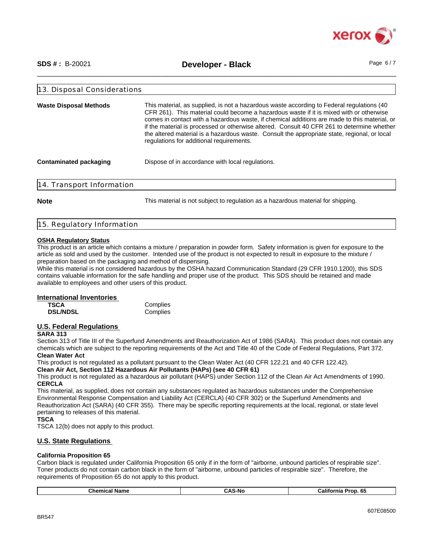

\_\_\_\_\_\_\_\_\_\_\_\_\_\_\_\_\_\_\_\_\_\_\_\_\_\_\_\_\_\_\_\_\_\_\_\_\_\_\_\_\_\_\_\_\_\_\_\_\_\_\_\_\_\_\_\_\_\_\_\_\_\_\_\_\_\_\_\_\_\_\_\_\_\_\_\_\_\_\_\_\_\_\_\_\_\_\_\_\_\_\_\_\_\_ **SDS # :** B-20021 **Developer - Black** Page 6 / 7

| 13. Disposal Considerations   |                                                                                                                                                                                                                                                                                                                                                                                                                                                                                                                                 |
|-------------------------------|---------------------------------------------------------------------------------------------------------------------------------------------------------------------------------------------------------------------------------------------------------------------------------------------------------------------------------------------------------------------------------------------------------------------------------------------------------------------------------------------------------------------------------|
| <b>Waste Disposal Methods</b> | This material, as supplied, is not a hazardous waste according to Federal regulations (40)<br>CFR 261). This material could become a hazardous waste if it is mixed with or otherwise<br>comes in contact with a hazardous waste, if chemical additions are made to this material, or<br>if the material is processed or otherwise altered. Consult 40 CFR 261 to determine whether<br>the altered material is a hazardous waste. Consult the appropriate state, regional, or local<br>regulations for additional requirements. |
| Contaminated packaging        | Dispose of in accordance with local regulations.                                                                                                                                                                                                                                                                                                                                                                                                                                                                                |
| 14. Transport Information     |                                                                                                                                                                                                                                                                                                                                                                                                                                                                                                                                 |
| <b>Note</b>                   | This material is not subject to regulation as a hazardous material for shipping.                                                                                                                                                                                                                                                                                                                                                                                                                                                |

# 15. Regulatory Information

#### **OSHA Regulatory Status**

This product is an article which contains a mixture / preparation in powder form. Safety information is given for exposure to the article as sold and used by the customer. Intended use of the product is not expected to result in exposure to the mixture / preparation based on the packaging and method of dispensing.

While this material is not considered hazardous by the OSHA hazard Communication Standard (29 CFR 1910.1200), this SDS contains valuable information for the safe handling and proper use of the product. This SDS should be retained and made available to employees and other users of this product.

#### **International Inventories**

| <b>TSCA</b>     | Complies |
|-----------------|----------|
| <b>DSL/NDSL</b> | Complies |

#### **U.S. Federal Regulations**

#### **SARA 313**

Section 313 of Title III of the Superfund Amendments and Reauthorization Act of 1986 (SARA). This product does not contain any chemicals which are subject to the reporting requirements of the Act and Title 40 of the Code of Federal Regulations, Part 372. **Clean Water Act**

This product is not regulated as a pollutant pursuant to the Clean Water Act (40 CFR 122.21 and 40 CFR 122.42).

**Clean Air Act, Section 112 Hazardous Air Pollutants (HAPs) (see 40 CFR 61)**

This product is not regulated as a hazardous air pollutant (HAPS) under Section 112 of the Clean Air Act Amendments of 1990. **CERCLA**

This material, as supplied, does not contain any substances regulated as hazardous substances under the Comprehensive Environmental Response Compensation and Liability Act (CERCLA) (40 CFR 302) or the Superfund Amendments and Reauthorization Act (SARA) (40 CFR 355). There may be specific reporting requirements at the local, regional, or state level pertaining to releases of this material.

#### **TSCA**

TSCA 12(b) does not apply to this product.

### **U.S. State Regulations**

#### **California Proposition 65**

Carbon black is regulated under California Proposition 65 only if in the form of "airborne, unbound particles of respirable size". Toner products do not contain carbon black in the form of "airborne, unbound particles of respirable size". Therefore, the requirements of Proposition 65 do not apply to this product.

| -<br>-65<br>.NI/<br>$\overline{\phantom{a}}$<br>' Name<br>"alitor"<br>mıa<br>⇔nemicai ⊤<br>Prop<br>'NV. |
|---------------------------------------------------------------------------------------------------------|
|---------------------------------------------------------------------------------------------------------|